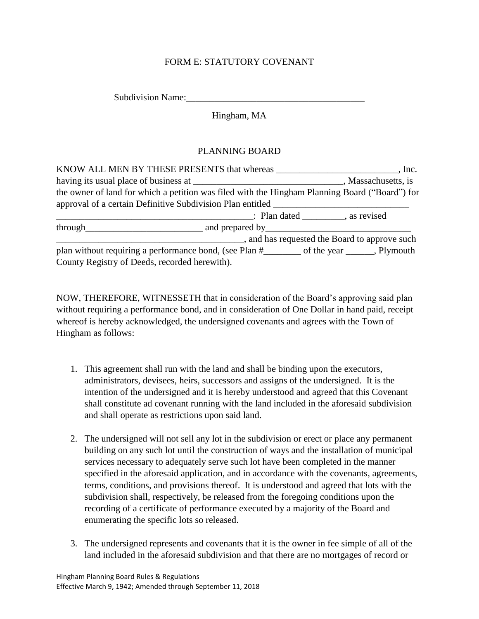## FORM E: STATUTORY COVENANT

Subdivision Name:

Hingham, MA

## PLANNING BOARD

| the owner of land for which a petition was filed with the Hingham Planning Board ("Board") for |  |
|------------------------------------------------------------------------------------------------|--|
| approval of a certain Definitive Subdivision Plan entitled ______________________              |  |
| : Plan dated as revised                                                                        |  |
|                                                                                                |  |
| and has requested the Board to approve such                                                    |  |
|                                                                                                |  |
| County Registry of Deeds, recorded herewith).                                                  |  |

NOW, THEREFORE, WITNESSETH that in consideration of the Board's approving said plan without requiring a performance bond, and in consideration of One Dollar in hand paid, receipt whereof is hereby acknowledged, the undersigned covenants and agrees with the Town of Hingham as follows:

- 1. This agreement shall run with the land and shall be binding upon the executors, administrators, devisees, heirs, successors and assigns of the undersigned. It is the intention of the undersigned and it is hereby understood and agreed that this Covenant shall constitute ad covenant running with the land included in the aforesaid subdivision and shall operate as restrictions upon said land.
- 2. The undersigned will not sell any lot in the subdivision or erect or place any permanent building on any such lot until the construction of ways and the installation of municipal services necessary to adequately serve such lot have been completed in the manner specified in the aforesaid application, and in accordance with the covenants, agreements, terms, conditions, and provisions thereof. It is understood and agreed that lots with the subdivision shall, respectively, be released from the foregoing conditions upon the recording of a certificate of performance executed by a majority of the Board and enumerating the specific lots so released.
- 3. The undersigned represents and covenants that it is the owner in fee simple of all of the land included in the aforesaid subdivision and that there are no mortgages of record or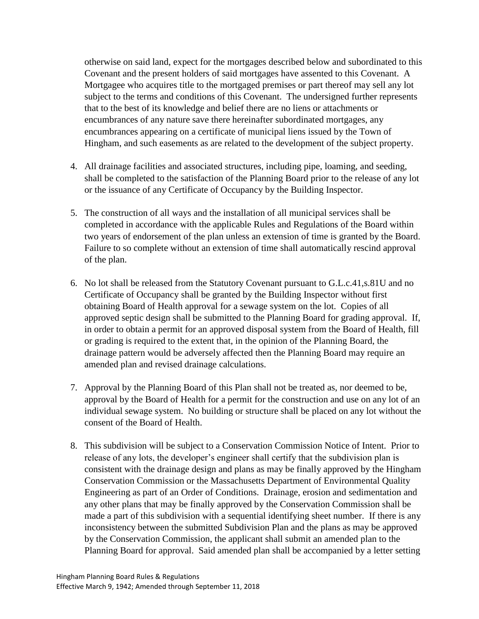otherwise on said land, expect for the mortgages described below and subordinated to this Covenant and the present holders of said mortgages have assented to this Covenant. A Mortgagee who acquires title to the mortgaged premises or part thereof may sell any lot subject to the terms and conditions of this Covenant. The undersigned further represents that to the best of its knowledge and belief there are no liens or attachments or encumbrances of any nature save there hereinafter subordinated mortgages, any encumbrances appearing on a certificate of municipal liens issued by the Town of Hingham, and such easements as are related to the development of the subject property.

- 4. All drainage facilities and associated structures, including pipe, loaming, and seeding, shall be completed to the satisfaction of the Planning Board prior to the release of any lot or the issuance of any Certificate of Occupancy by the Building Inspector.
- 5. The construction of all ways and the installation of all municipal services shall be completed in accordance with the applicable Rules and Regulations of the Board within two years of endorsement of the plan unless an extension of time is granted by the Board. Failure to so complete without an extension of time shall automatically rescind approval of the plan.
- 6. No lot shall be released from the Statutory Covenant pursuant to G.L.c.41,s.81U and no Certificate of Occupancy shall be granted by the Building Inspector without first obtaining Board of Health approval for a sewage system on the lot. Copies of all approved septic design shall be submitted to the Planning Board for grading approval. If, in order to obtain a permit for an approved disposal system from the Board of Health, fill or grading is required to the extent that, in the opinion of the Planning Board, the drainage pattern would be adversely affected then the Planning Board may require an amended plan and revised drainage calculations.
- 7. Approval by the Planning Board of this Plan shall not be treated as, nor deemed to be, approval by the Board of Health for a permit for the construction and use on any lot of an individual sewage system. No building or structure shall be placed on any lot without the consent of the Board of Health.
- 8. This subdivision will be subject to a Conservation Commission Notice of Intent. Prior to release of any lots, the developer's engineer shall certify that the subdivision plan is consistent with the drainage design and plans as may be finally approved by the Hingham Conservation Commission or the Massachusetts Department of Environmental Quality Engineering as part of an Order of Conditions. Drainage, erosion and sedimentation and any other plans that may be finally approved by the Conservation Commission shall be made a part of this subdivision with a sequential identifying sheet number. If there is any inconsistency between the submitted Subdivision Plan and the plans as may be approved by the Conservation Commission, the applicant shall submit an amended plan to the Planning Board for approval. Said amended plan shall be accompanied by a letter setting